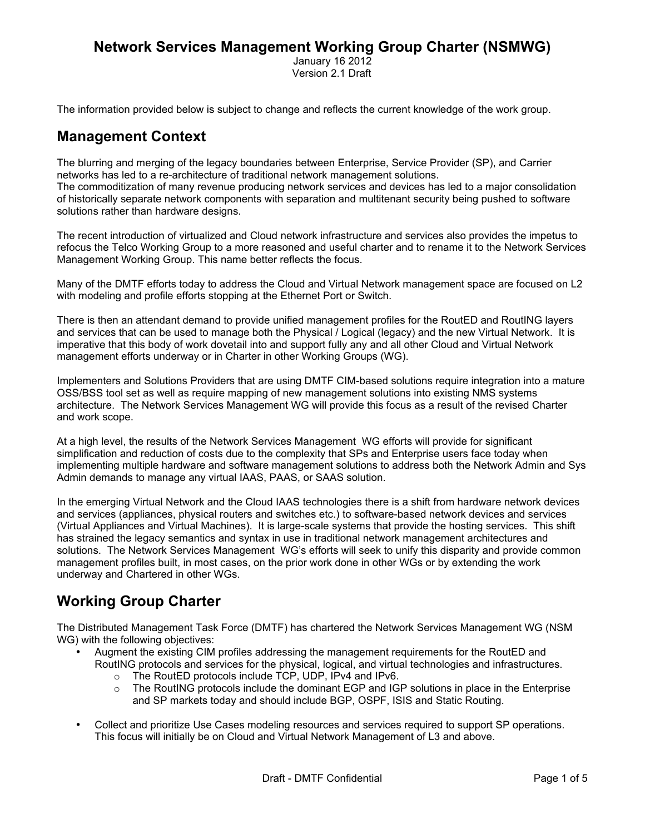## **Network Services Management Working Group Charter (NSMWG)**

 January 16 2012 Version 2.1 Draft

The information provided below is subject to change and reflects the current knowledge of the work group.

#### **Management Context**

The blurring and merging of the legacy boundaries between Enterprise, Service Provider (SP), and Carrier networks has led to a re-architecture of traditional network management solutions. The commoditization of many revenue producing network services and devices has led to a major consolidation of historically separate network components with separation and multitenant security being pushed to software solutions rather than hardware designs.

The recent introduction of virtualized and Cloud network infrastructure and services also provides the impetus to refocus the Telco Working Group to a more reasoned and useful charter and to rename it to the Network Services Management Working Group. This name better reflects the focus.

Many of the DMTF efforts today to address the Cloud and Virtual Network management space are focused on L2 with modeling and profile efforts stopping at the Ethernet Port or Switch.

There is then an attendant demand to provide unified management profiles for the RoutED and RoutING layers and services that can be used to manage both the Physical / Logical (legacy) and the new Virtual Network. It is imperative that this body of work dovetail into and support fully any and all other Cloud and Virtual Network management efforts underway or in Charter in other Working Groups (WG).

Implementers and Solutions Providers that are using DMTF CIM-based solutions require integration into a mature OSS/BSS tool set as well as require mapping of new management solutions into existing NMS systems architecture. The Network Services Management WG will provide this focus as a result of the revised Charter and work scope.

At a high level, the results of the Network Services Management WG efforts will provide for significant simplification and reduction of costs due to the complexity that SPs and Enterprise users face today when implementing multiple hardware and software management solutions to address both the Network Admin and Sys Admin demands to manage any virtual IAAS, PAAS, or SAAS solution.

In the emerging Virtual Network and the Cloud IAAS technologies there is a shift from hardware network devices and services (appliances, physical routers and switches etc.) to software-based network devices and services (Virtual Appliances and Virtual Machines). It is large-scale systems that provide the hosting services. This shift has strained the legacy semantics and syntax in use in traditional network management architectures and solutions. The Network Services Management WG's efforts will seek to unify this disparity and provide common management profiles built, in most cases, on the prior work done in other WGs or by extending the work underway and Chartered in other WGs.

## **Working Group Charter**

The Distributed Management Task Force (DMTF) has chartered the Network Services Management WG (NSM WG) with the following objectives:

- Augment the existing CIM profiles addressing the management requirements for the RoutED and RoutING protocols and services for the physical, logical, and virtual technologies and infrastructures.
	- o The RoutED protocols include TCP, UDP, IPv4 and IPv6.<br>○ The RoutING protocols include the dominant EGP and IG
	- The RoutING protocols include the dominant EGP and IGP solutions in place in the Enterprise and SP markets today and should include BGP, OSPF, ISIS and Static Routing.
- Collect and prioritize Use Cases modeling resources and services required to support SP operations. This focus will initially be on Cloud and Virtual Network Management of L3 and above.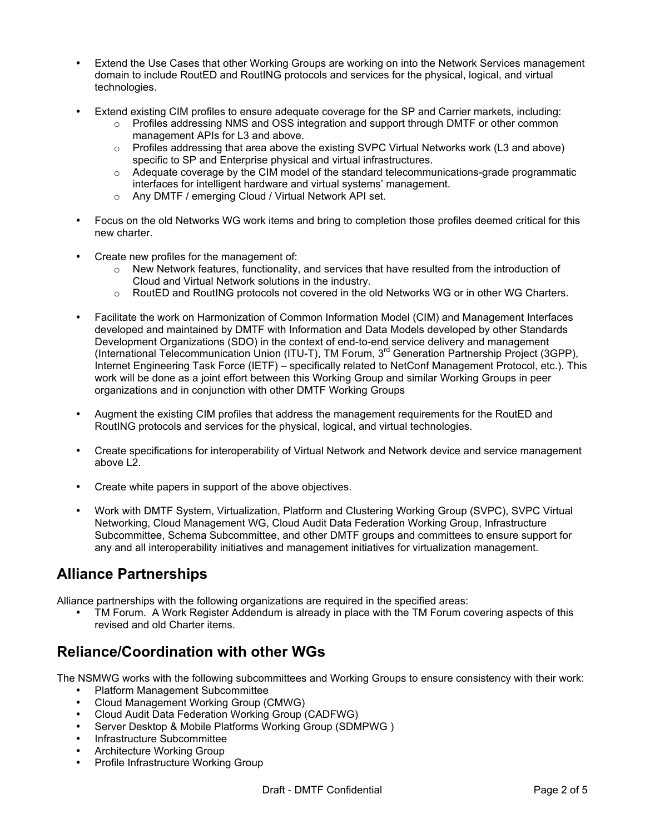- Extend the Use Cases that other Working Groups are working on into the Network Services management domain to include RoutED and RoutING protocols and services for the physical, logical, and virtual technologies.
- Extend existing CIM profiles to ensure adequate coverage for the SP and Carrier markets, including:
	- $\circ$  Profiles addressing NMS and OSS integration and support through DMTF or other common management APIs for L3 and above.
	- $\circ$  Profiles addressing that area above the existing SVPC Virtual Networks work (L3 and above) specific to SP and Enterprise physical and virtual infrastructures.
	- $\circ$  Adequate coverage by the CIM model of the standard telecommunications-grade programmatic interfaces for intelligent hardware and virtual systems' management.
	- o Any DMTF / emerging Cloud / Virtual Network API set.
- Focus on the old Networks WG work items and bring to completion those profiles deemed critical for this new charter.
- Create new profiles for the management of:
	- $\circ$  New Network features, functionality, and services that have resulted from the introduction of Cloud and Virtual Network solutions in the industry.
	- o RoutED and RoutING protocols not covered in the old Networks WG or in other WG Charters.
- Facilitate the work on Harmonization of Common Information Model (CIM) and Management Interfaces developed and maintained by DMTF with Information and Data Models developed by other Standards Development Organizations (SDO) in the context of end-to-end service delivery and management (International Telecommunication Union (ITU-T), TM Forum, 3rd Generation Partnership Project (3GPP), Internet Engineering Task Force (IETF) – specifically related to NetConf Management Protocol, etc.). This work will be done as a joint effort between this Working Group and similar Working Groups in peer organizations and in conjunction with other DMTF Working Groups
- Augment the existing CIM profiles that address the management requirements for the RoutED and RoutING protocols and services for the physical, logical, and virtual technologies.
- Create specifications for interoperability of Virtual Network and Network device and service management above L2
- Create white papers in support of the above objectives.
- Work with DMTF System, Virtualization, Platform and Clustering Working Group (SVPC), SVPC Virtual Networking, Cloud Management WG, Cloud Audit Data Federation Working Group, Infrastructure Subcommittee, Schema Subcommittee, and other DMTF groups and committees to ensure support for any and all interoperability initiatives and management initiatives for virtualization management.

## **Alliance Partnerships**

Alliance partnerships with the following organizations are required in the specified areas:

• TM Forum. A Work Register Addendum is already in place with the TM Forum covering aspects of this revised and old Charter items.

### **Reliance/Coordination with other WGs**

The NSMWG works with the following subcommittees and Working Groups to ensure consistency with their work:

- Platform Management Subcommittee
- Cloud Management Working Group (CMWG)
- Cloud Audit Data Federation Working Group (CADFWG)
- Server Desktop & Mobile Platforms Working Group (SDMPWG )
- Infrastructure Subcommittee
- Architecture Working Group
- Profile Infrastructure Working Group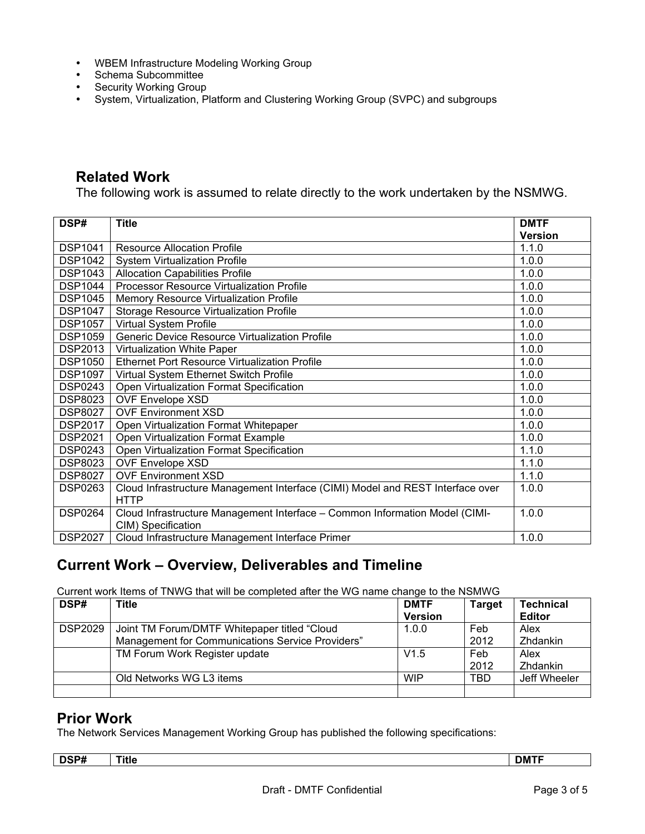- WBEM Infrastructure Modeling Working Group
- Schema Subcommittee
- Security Working Group
- System, Virtualization, Platform and Clustering Working Group (SVPC) and subgroups

#### **Related Work**

The following work is assumed to relate directly to the work undertaken by the NSMWG.

| DSP#           | <b>Title</b>                                                                                  | <b>DMTF</b>    |
|----------------|-----------------------------------------------------------------------------------------------|----------------|
|                |                                                                                               | <b>Version</b> |
| <b>DSP1041</b> | <b>Resource Allocation Profile</b>                                                            | 1.1.0          |
| <b>DSP1042</b> | <b>System Virtualization Profile</b>                                                          | 1.0.0          |
| <b>DSP1043</b> | <b>Allocation Capabilities Profile</b>                                                        | 1.0.0          |
| <b>DSP1044</b> | Processor Resource Virtualization Profile                                                     | 1.0.0          |
| <b>DSP1045</b> | Memory Resource Virtualization Profile                                                        | 1.0.0          |
| <b>DSP1047</b> | Storage Resource Virtualization Profile                                                       | 1.0.0          |
| <b>DSP1057</b> | <b>Virtual System Profile</b>                                                                 | 1.0.0          |
| <b>DSP1059</b> | Generic Device Resource Virtualization Profile                                                | 1.0.0          |
| <b>DSP2013</b> | Virtualization White Paper                                                                    | 1.0.0          |
| <b>DSP1050</b> | <b>Ethernet Port Resource Virtualization Profile</b>                                          | 1.0.0          |
| <b>DSP1097</b> | Virtual System Ethernet Switch Profile                                                        | 1.0.0          |
| <b>DSP0243</b> | Open Virtualization Format Specification                                                      | 1.0.0          |
| <b>DSP8023</b> | <b>OVF Envelope XSD</b>                                                                       | 1.0.0          |
| <b>DSP8027</b> | <b>OVF Environment XSD</b>                                                                    | 1.0.0          |
| <b>DSP2017</b> | Open Virtualization Format Whitepaper                                                         | 1.0.0          |
| <b>DSP2021</b> | Open Virtualization Format Example                                                            | 1.0.0          |
| <b>DSP0243</b> | Open Virtualization Format Specification                                                      | 1.1.0          |
| <b>DSP8023</b> | <b>OVF Envelope XSD</b>                                                                       | 1.1.0          |
| <b>DSP8027</b> | <b>OVF Environment XSD</b>                                                                    | 1.1.0          |
| <b>DSP0263</b> | Cloud Infrastructure Management Interface (CIMI) Model and REST Interface over<br><b>HTTP</b> | 1.0.0          |
| <b>DSP0264</b> | Cloud Infrastructure Management Interface - Common Information Model (CIMI-                   | 1.0.0          |
| <b>DSP2027</b> | CIM) Specification<br>Cloud Infrastructure Management Interface Primer                        | 1.0.0          |

### **Current Work – Overview, Deliverables and Timeline**

Current work Items of TNWG that will be completed after the WG name change to the NSMWG

| DSP#           | Title                                            | <b>DMTF</b>    | <b>Target</b> | <b>Technical</b> |
|----------------|--------------------------------------------------|----------------|---------------|------------------|
|                |                                                  | <b>Version</b> |               | <b>Editor</b>    |
| <b>DSP2029</b> | Joint TM Forum/DMTF Whitepaper titled "Cloud"    | 1.0.0          | Feb           | Alex             |
|                | Management for Communications Service Providers" |                | 2012          | Zhdankin         |
|                | TM Forum Work Register update                    | V1.5           | Feb           | Alex             |
|                |                                                  |                | 2012          | <b>Zhdankin</b>  |
|                | Old Networks WG L3 items                         | <b>WIP</b>     | TBD           | Jeff Wheeler     |
|                |                                                  |                |               |                  |

#### **Prior Work**

The Network Services Management Working Group has published the following specifications:

| nep#<br>וויסט# | Title | <b>DMTF</b> |
|----------------|-------|-------------|
|                |       |             |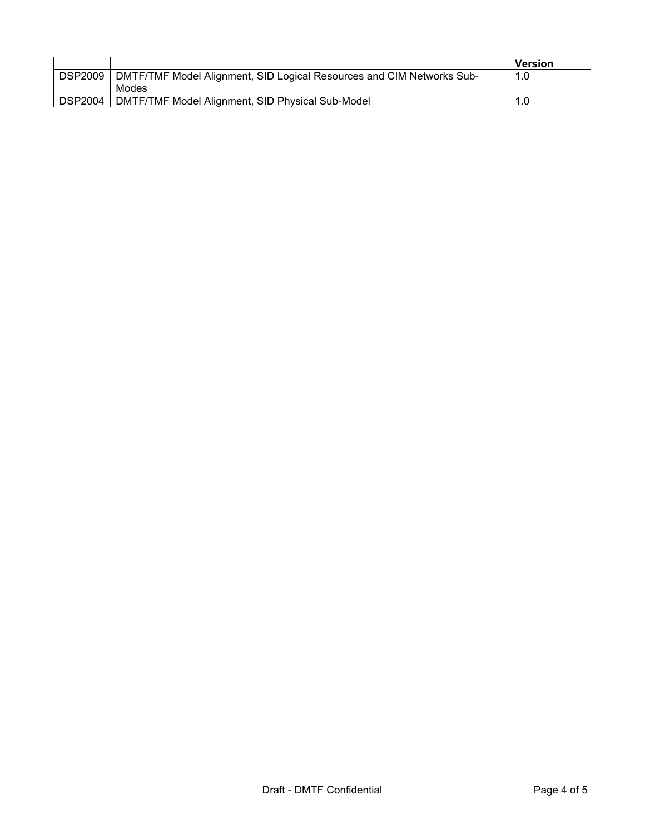|                |                                                                       | <b>Version</b> |
|----------------|-----------------------------------------------------------------------|----------------|
| <b>DSP2009</b> | DMTF/TMF Model Alignment, SID Logical Resources and CIM Networks Sub- | 1.0            |
|                | Modes                                                                 |                |
| <b>DSP2004</b> | DMTF/TMF Model Alignment, SID Physical Sub-Model                      |                |